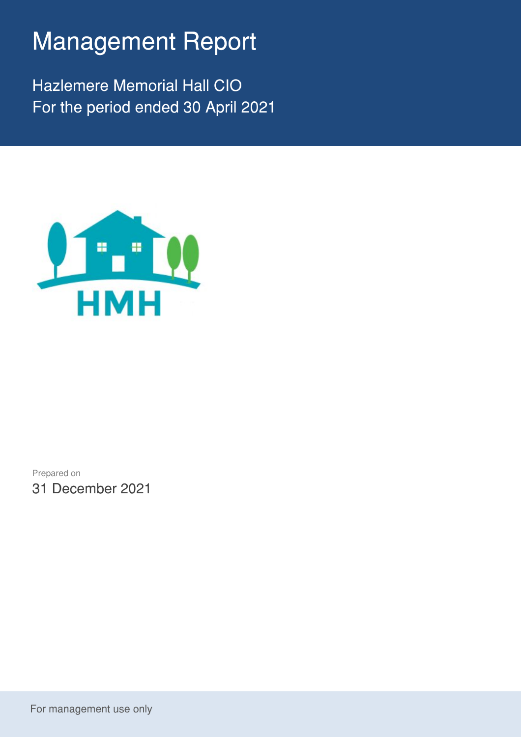## Management Report

Hazlemere Memorial Hall CIO For the period ended 30 April 2021



Prepared on 31 December 2021

For management use only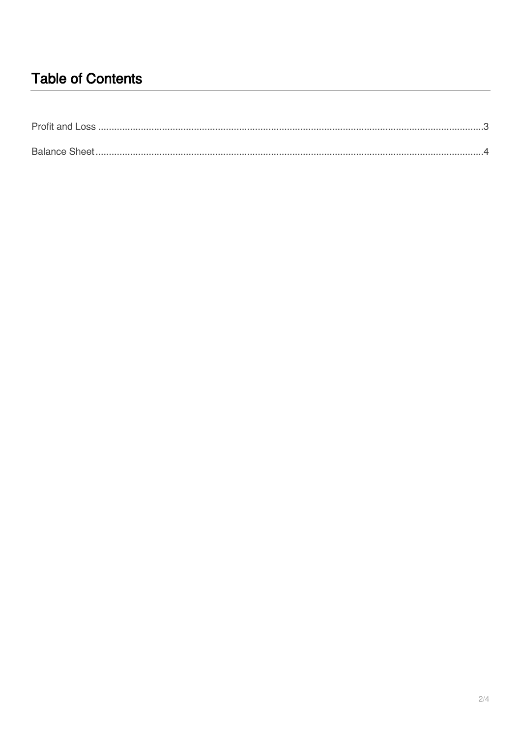## **Table of Contents**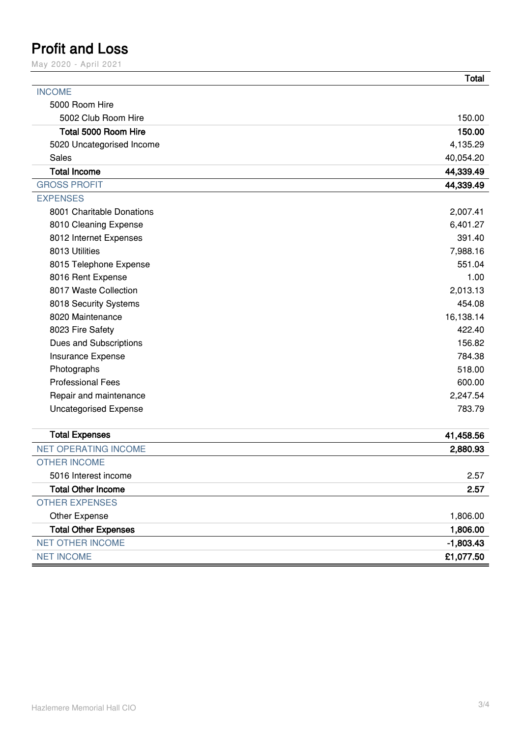## <span id="page-2-0"></span>**Profit and Loss**

May 2020 - April 2021

|                              | <b>Total</b> |
|------------------------------|--------------|
| <b>INCOME</b>                |              |
| 5000 Room Hire               |              |
| 5002 Club Room Hire          | 150.00       |
| Total 5000 Room Hire         | 150.00       |
| 5020 Uncategorised Income    | 4,135.29     |
| Sales                        | 40,054.20    |
| <b>Total Income</b>          | 44,339.49    |
| <b>GROSS PROFIT</b>          | 44,339.49    |
| <b>EXPENSES</b>              |              |
| 8001 Charitable Donations    | 2,007.41     |
| 8010 Cleaning Expense        | 6,401.27     |
| 8012 Internet Expenses       | 391.40       |
| 8013 Utilities               | 7,988.16     |
| 8015 Telephone Expense       | 551.04       |
| 8016 Rent Expense            | 1.00         |
| 8017 Waste Collection        | 2,013.13     |
| 8018 Security Systems        | 454.08       |
| 8020 Maintenance             | 16,138.14    |
| 8023 Fire Safety             | 422.40       |
| Dues and Subscriptions       | 156.82       |
| Insurance Expense            | 784.38       |
| Photographs                  | 518.00       |
| <b>Professional Fees</b>     | 600.00       |
| Repair and maintenance       | 2,247.54     |
| <b>Uncategorised Expense</b> | 783.79       |
| <b>Total Expenses</b>        | 41,458.56    |
| <b>NET OPERATING INCOME</b>  | 2,880.93     |
| <b>OTHER INCOME</b>          |              |
| 5016 Interest income         | 2.57         |
| <b>Total Other Income</b>    | 2.57         |
| <b>OTHER EXPENSES</b>        |              |
| Other Expense                | 1,806.00     |
| <b>Total Other Expenses</b>  | 1,806.00     |
| <b>NET OTHER INCOME</b>      | $-1,803.43$  |

NET INCOME **£1,077.50**